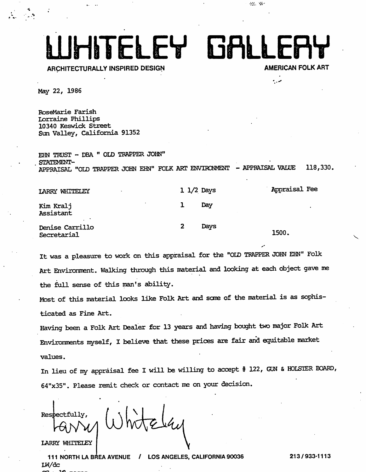LUHITELEY GALLERY

ARCHITECTURALLY INSPIRED DESIGN

مدبه

 $\langle \phi_{\rm{max}} \rangle$  ,  $\langle \phi_{\rm{max}} \rangle$ 

May 22, 1986

RoseMarie Farish Lorraine Phillips 10340 Keswick Street Sun Valley, California 91352

EHN TRUST - DBA " OLD TRAPPER JOHN" STATEMENT-APPRAISAL "OLD TRAPPER JOHN EHN" POLK ART ENVIRCINMENT - APPRAISAL VALUE 118,330.

| LARRY WHITELEY<br>$\bullet$         |              | $1 \frac{1}{2}$ Days | Appraisal Fee |
|-------------------------------------|--------------|----------------------|---------------|
| $\bullet$<br>Kim Kralj<br>Assistant |              | Day                  |               |
| Denise Carrillo<br>Secretarial      | $\mathbf{2}$ | Days                 | 1500.         |

It was a pleasure to work on this appraisal for the "OID TRAPPER JOHN EHN" Polk Art Environment. Walking through this material and looking at each object gave me the full sense of this man's ability.

Most of this material looks like Polk Art and some of the material is as sophis ticated as Fine Art.

Having been a Polk Art Dealer for 13 years and having bought two major Polk Art Environments myself, I believe that these prices are fair and equitable market values.

In lieu of my appraisal fee I will be willing to accept # 122, GUN & HOLSTER BOARD, 64"x35". Please remit check or contact me on your decision.

Respectfully,

LARRY WHITELEY

111 NORTH LA BREA AVENUE / LOS ANGELES, CALIFORNIA 90036 LW/dc

213/933-1113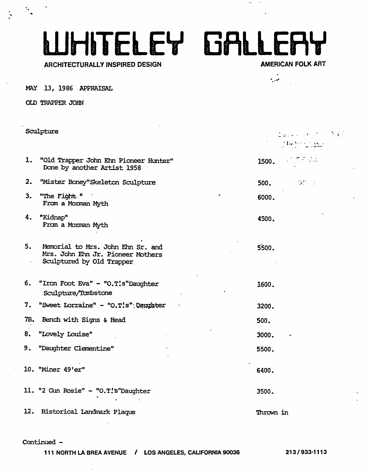# WITELEY GALLERY

#### ARCHITECTURALLY INSPIRED DESIGN

 $\mathbf{r}$ 

المعروم

 $\sim$ 

MAY 13, 1986 APPRAISAL

OLD TRAPPER JOHN

|    | Sculpture                                                                                           |           | $\mathcal{L}_{\mathcal{Q},\mathcal{L},\mathcal{L},\mathcal{M}}(x,y) = \mathcal{L}_{\mathcal{Q},\mathcal{L}}(x,y) + \mathcal{L}_{\mathcal{Q},\mathcal{L}}(x,y)$<br>$\label{eq:2} \frac{1}{2}\int_{\mathbb{R}^3} \int_{\mathbb{R}^3} \int_{\mathbb{R}^3} \int_{\mathbb{R}^3} \int_{\mathbb{R}^3} \int_{\mathbb{R}^3} \int_{\mathbb{R}^3} \int_{\mathbb{R}^3} \int_{\mathbb{R}^3} \int_{\mathbb{R}^3} \int_{\mathbb{R}^3} \int_{\mathbb{R}^3} \int_{\mathbb{R}^3} \int_{\mathbb{R}^3} \int_{\mathbb{R}^3} \int_{\mathbb{R}^3} \int_{\mathbb{R}^3} \int_{$ |
|----|-----------------------------------------------------------------------------------------------------|-----------|--------------------------------------------------------------------------------------------------------------------------------------------------------------------------------------------------------------------------------------------------------------------------------------------------------------------------------------------------------------------------------------------------------------------------------------------------------------------------------------------------------------------------------------------------------|
| ı. | "Old Trapper John Ehn Pioneer Hunter"<br>Done by another Artist 1958                                | 1500.     | $\mathcal{L}^{\mathcal{L}}(\mathcal{L}^{\mathcal{L}}(\mathcal{L}^{\mathcal{L}}(\mathcal{L}^{\mathcal{L}}(\mathcal{L}^{\mathcal{L}}(\mathcal{L}^{\mathcal{L}}(\mathcal{L}^{\mathcal{L}}(\mathcal{L}^{\mathcal{L}}(\mathcal{L}^{\mathcal{L}}(\mathcal{L}^{\mathcal{L}}(\mathcal{L}^{\mathcal{L}}(\mathcal{L}^{\mathcal{L}}(\mathcal{L}^{\mathcal{L}}(\mathcal{L}^{\mathcal{L}}(\mathcal{L}^{\mathcal{L}}(\mathcal{L}^{\mathcal{L}}(\mathcal{L}^{\mathcal{L$                                                                                              |
| 2. | "Mister Boney" Skeleton Sculpture                                                                   | 500.      | $\sim 100\,M_\odot$ . $\pm$                                                                                                                                                                                                                                                                                                                                                                                                                                                                                                                            |
| 3. | "The Fight "<br>From a Morman Myth                                                                  | 6000.     |                                                                                                                                                                                                                                                                                                                                                                                                                                                                                                                                                        |
| 4. | "Kidnap"<br>From a Morman Myth                                                                      | 4500.     |                                                                                                                                                                                                                                                                                                                                                                                                                                                                                                                                                        |
| 5. | Memorial to Mrs. John Ehn Sr. and<br>Mrs. John Ehn Jr. Pioneer Mothers<br>Sculptured by Old Trapper | 5500.     |                                                                                                                                                                                                                                                                                                                                                                                                                                                                                                                                                        |
|    | 6. "Iron Foot Eva" - "O.T!s"Daughter<br>Sculpture/Tambstone                                         | 1600.     |                                                                                                                                                                                                                                                                                                                                                                                                                                                                                                                                                        |
|    | 7. "Sweet Lorraine" - "O.T!s": Dangater                                                             | 3200.     |                                                                                                                                                                                                                                                                                                                                                                                                                                                                                                                                                        |
|    | 7B. Bench with Signs & Head                                                                         | 500.      |                                                                                                                                                                                                                                                                                                                                                                                                                                                                                                                                                        |
|    | 8. "Lovely Louise"                                                                                  | 3000.     |                                                                                                                                                                                                                                                                                                                                                                                                                                                                                                                                                        |
| 9. | <b>"Daughter Clementine"</b>                                                                        | 5500.     |                                                                                                                                                                                                                                                                                                                                                                                                                                                                                                                                                        |
|    | 10. "Miner 49'er"                                                                                   | 6400.     |                                                                                                                                                                                                                                                                                                                                                                                                                                                                                                                                                        |
|    | 11. "2 Gun Rosie" - "O.T!'s "Daughter                                                               | 3500.     |                                                                                                                                                                                                                                                                                                                                                                                                                                                                                                                                                        |
|    | 12. Historical Landmark Plaque                                                                      | Thrown in |                                                                                                                                                                                                                                                                                                                                                                                                                                                                                                                                                        |

#### Continued -

111 NORTH LA BREA AVENUE / LOS ANGELES. CALIFORNIA 90036 213/933-1113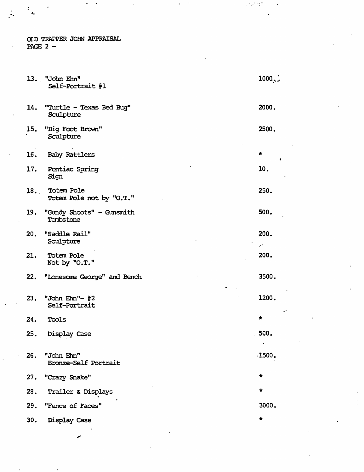OLD TRAPPER JOHN APPRAISAL PAGE  $2 -$ 

 $\mathcal{I}^{\pm}$  $\hat{a}_i$ 

|     | 13. "John Ehn"<br>Self-Portrait #1         | 1000.7            |
|-----|--------------------------------------------|-------------------|
| 14. | "Turtle - Texas Bed Bug"<br>Sculpture      | 2000.             |
| 15. | "Big Foot Brown"<br>Sculpture              | 2500.             |
| 16. | Baby Rattlers                              | $\,$<br>$\bullet$ |
|     | 17. Pontiac Spring<br>Sign                 | 10.               |
|     | 18. Totem Pole<br>Totem Pole not by "O.T." | 250.              |
|     | 19. "Gundy Shoots" - Gunsmith<br>Tombstone | 500.              |
| 20. | <b>"Saddle Rail"</b><br>Sculpture          | 200.<br>ä,        |
| 21. | Totem Pole<br>Not by "O.T."                | 200.              |
| 22. | "Lonesome George" and Bench                | 3500.             |
| 23. | "John Ehn"- #2<br>Self-Portrait            | 1200.<br>مر       |
| 24. | Tools                                      | *                 |
| 25. | Display Case                               | 500.              |
| 26. | "John Ehn"<br>Bronze-Self Portrait         | .1500.            |
|     | 27. "Crazy Snake"                          | $\pmb{*}$         |
| 28. | Trailer & Displays                         | $\star$           |
| 29. | "Fence of Faces"                           | 3000.             |
| 30. | Display Case                               | $\star$           |
|     |                                            |                   |

 $\sim 10^{11}$  and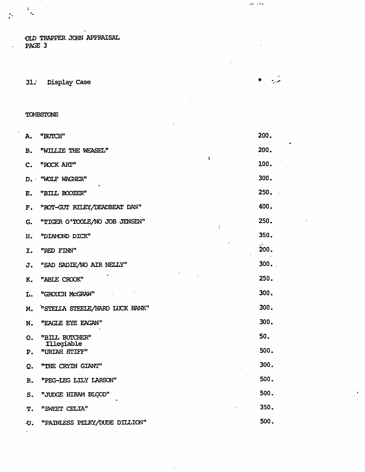OLD TRAPPER JOHN APPRAISAL PAGE 3

31. Display Case

#### TOMBSTONE

 $\frac{1}{2}$ 

 $\ddot{\phantom{a}}$ 

| A.              | "BUICH"                        | 200. |
|-----------------|--------------------------------|------|
| <b>B.</b>       | "WILLIE THE WEASEL"            | 200. |
| c.              | ١<br>"ROCK ART"                | 100. |
| $D_{\bullet}$ . | "WOLF WAGNER"                  | 300. |
| E.              | "BILL BOOZER"                  | 250. |
| F.              | "ROT-GUT RILEY/DEADBEAT DAN"   | 400. |
| G.              | "TIGER O'TOOLE/NO JOB JENSEN"  | 250. |
| H.              | "DIAMOND DICK"                 | 350. |
| I.              | "RED FINN"                     | 200. |
| J.              | "SAD SADIE/NO AIR NEILY"       | 300. |
| K.              | "ABLE CROOK"                   | 250. |
| L.              | "GROUCH MCGRAW"                | 300. |
| M.              | "STELLA STEELE/HARD LUCK HANK" | 300. |
| N.              | "EAGLE EYE EAGAN"              | 300. |
| 0.              | "BILL BUICHER"<br>Illegiable   | 50.  |
| Ρ.              | "URIAH STIFF"                  | 500. |
| Q.              | "THE CRYIN GIANT"              | 300. |
| R.              | "PEG-LEG LILY LARSON"          | 500. |
| s.              | "JUDGE HIRAM BLOOD"            | 500. |
| T.              | "SWEET CELIA"                  | 350. |
| .11.            | "PAINLESS PELKY/DUDE DILLION"  | 500. |

 $\ddot{\phantom{a}}$ 

 $\Delta \mathbf{z}^2$  ,  $\Delta \mathbf{z}$  ,

د.<br>منبع

 $\star$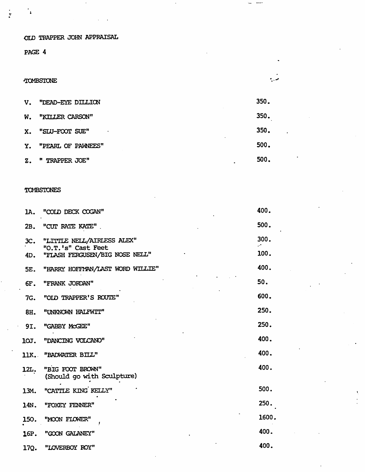OID TRAPPER JOHN APPRAISAL

PAGE 4

 $\ddot{\phantom{a}}$ 

 $\frac{1}{2}$ 

#### TOMBSTONE

| $V_{\star}$   | "DEAD-EYE DILLION  | 350. |
|---------------|--------------------|------|
| W.            | "KITLER CARSON"    | 350. |
| X.            | "SLU-FOOT SUE"     | 350. |
| Y.            | "PEARL OF PAWNEES" | 500. |
| $Z_{\bullet}$ | " TRAPPER JOE"     | 500. |

 $\mathbf{u}_t = \mathbf{u}_t \mathbf{u}_t$ 

م .

#### **TOMBSTONES**

| 1A.             | "COLD DECK COGAN"                                    | 400.       |
|-----------------|------------------------------------------------------|------------|
| 2B.             | "CUT RATE KATE"                                      | 500.       |
| 3C <sub>1</sub> | "LITTLE NELL/AIRLESS ALEX"                           | 300.<br>₩. |
| 4D.             | "O.T.'s" Cast Feet<br>"FLASH FERGUSEN/BIG NOSE NELL" | 100.       |
| 5E.             | "HARRY HOFFMAN/LAST WORD WILLIE"                     | 400.       |
| 6F.             | "FRANK JORDAN"                                       | 50.        |
| 7G.             | "OLD TRAPPER'S ROUTE"                                | 600.       |
| 8H.             | "UNKNOWN HALFWIT"                                    | 250.       |
| 9I.             | "GABBY MCGEE"                                        | 250.       |
| 10J.            | "DANCING VOLCANO"                                    | 400.       |
|                 | 11K. "BADWATER BILL"                                 | 400.       |
| 12L.            | "BIG FOOT BROWN"<br>(Should go with Sculpture)       | 400.       |
| 13M.            | "CATTLE KING KELLY"                                  | 500.       |
| 14N.            | "FOXEY FENNER"                                       | 250.       |
| 150.            | "MOON FLOWER"                                        | 1600.      |
| 16P.            | "GOON GALANEY"                                       | 400.       |
| 17Q.            | "LOVERBOY ROY"                                       | 400.       |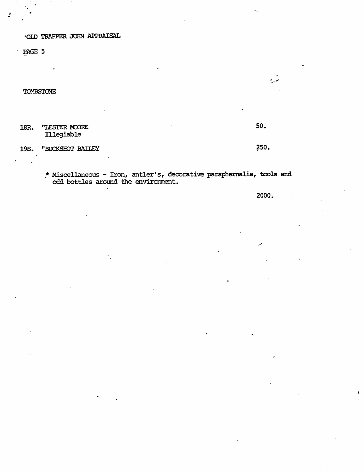•OliD TRAPPER JOHN APPRAISAL

PAGE 5

**TOMBSTONE** 

18R. "LESTER MOORE 50. Illegiable

19S. "BUCKSHOT BAILEY <sup>250</sup>.

مدرد

 $\bullet$  1.

\* Miscellaneous - Iron, antler's, decorative paraphernalia, tools and odd bottles around the environment.

2000.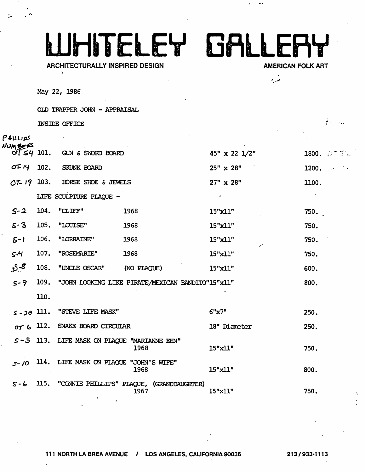## **WHITELEY GALLEAY**

#### **ARCHITECTURALLY INSPIRED DESIGN**

**AMERICAN FOLK ART** 

 $f = 1$ 

نې د

...

May 22, 1986

OLD TRAPPER JOHN - APPRAISAL

INSIDE OFFICE

| $ \pi$ ) $\iota$ ( $\mu$ ) |      |                                             |                                                        |                      |                     |
|----------------------------|------|---------------------------------------------|--------------------------------------------------------|----------------------|---------------------|
| VUM BERS                   |      | $\overline{OT}$ 54 101. GUN & SWORD BOARD   |                                                        | $45" \times 22$ 1/2" | 1800. $5^{\circ}$ 5 |
| OF 14                      | 102. | SKUNK BOARD                                 |                                                        | $25'' \times 28''$   | 1200.               |
|                            |      | $OT-19$ 103. HORSE SHOE & JEWELS            |                                                        | $27" \times 28"$     | 1100.               |
|                            |      | LIFE SCULPTURE PLAQUE -                     |                                                        | $\bullet$            |                     |
| $S - 2$                    | 104. | "CLIFF"                                     | 1968                                                   | $15"$ x $11"$        | 750.                |
| $5 - 3$                    |      | 105. "LOUISE"                               | 1968                                                   | 15"x11"              | 750.                |
| $S-1$                      |      | 106. "LORRAINE"                             | 1968                                                   | 15"x11"              | 750.                |
| $5 - 4$                    | 107. | "ROSEMARIE"                                 | 1968                                                   | 15"x11"              | 750.                |
| 8-ي                        | 108. | "UNCLE OSCAR" (NO PLAQUE)                   |                                                        | $15"$ $x11"$         | 600.                |
| $5 - 9$                    |      |                                             | 109. "JOHN LOOKING LIKE PIRATE/MEXICAN BANDITO"15"x11" |                      | 800.                |
|                            | 110. |                                             |                                                        |                      |                     |
|                            |      | $5 - 20$ 111. "STEVE LIFE MASK"             |                                                        | 6"x7"                | 250.                |
|                            |      | $or$ $\zeta$ 112. SNAKE BOARD CIRCULAR      |                                                        | 18" Diameter         | 250.                |
|                            |      | S-5 113. LIFE MASK ON PLAQUE "MARIANNE EHN" | 1968                                                   | 15"x11"              | 750.                |
|                            |      | S-10 114. LIFE MASK ON PLAQUE "JOHN'S WIFE" | 1968                                                   | $15"$ x $11"$        | 800.                |
| $S - 6$                    |      |                                             | 115. "CONNIE PHILLIPS" PLAQUE, (GRANDDAUGHTER)<br>1967 | 15"x11"              | 750.                |
|                            |      |                                             |                                                        |                      |                     |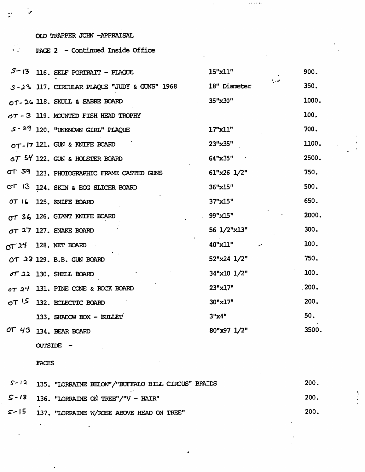OID TRAPPER JOHN -APPRAISAL

 $\cdot$ 

 $\tilde{a}$ 

#### PAGE 2 - Continued Inside Office  $\mathcal{N}_{\text{max}}$

|      | $5 - 13$ 116. SELF PORTRAIT - PLAQUE           | 15"x11"             | 900.  |
|------|------------------------------------------------|---------------------|-------|
|      | S-13 117. CIRCULAR PLAQUE "JUDY & GUNS" 1968   | م .<br>18" Diameter | 350.  |
|      | OT-26 118. SKULL & SABRE BOARD                 | $35"$ x $30"$       | 1000. |
|      | $\sigma\tau$ - 3 119. MOUNTED FISH HEAD TROPHY |                     | 100.  |
|      | $5 - 29$ 120. "UNKNOWN GIRL" PLAQUE            | $17"$ $x11"$        | 700.  |
|      | $OT$ - $I7$ 121. GUN & KNIFE BOARD             | 23"x35"             | 1100. |
|      | $\circ$ 7 54 122. GUN & HOLSTER BOARD          | 64"x35"             | 2500. |
|      | OT 59 123. PHOTOGRAPHIC FRAME CASTED GUNS      | $61"x26$ $1/2"$     | 750.  |
|      | OT 13 124. SKIN & EGG SLICER BOARD             | 36"x15"             | 500.  |
| OTI6 | 125. KNIFE BOARD                               | 37"x15"             | 650.  |
|      | OT 36 126. GIANT KNIFE BOARD                   | 99"x15"             | 2000. |
|      | $OT$ 27 127. SNAKE BOARD                       | 56 1/2"x13"         | 300.  |
|      | $\pi$ 24 128. NET BOARD                        | $40"$ x $11"$       | 100.  |
|      | OT $23$ 129. B.B. GUN BOARD                    | $52"x24$ $1/2"$     | 750.  |
|      | $\sigma$ $\tau$ 22 130. SHEILL BOARD           | 34"x10 1/2"         | 100.  |
|      | OT 24 131. PINE CONE & ROCK BOARD              | 23"x1.7"            | .200. |
|      | OT <sup>15</sup> 132. ECLECTIC BOARD           | 30"x17"             | 200.  |
|      | 133. SHADOW BOX - BULLET                       | 3"x4"               | 50.   |
|      | OT $43$ 134. BEAR BOARD                        | 80"x97 1/2"         | 3500. |
|      |                                                |                     |       |

 $\leftrightarrow$   $\leftrightarrow$   $\leftrightarrow$ 

**CUTSIDE** -

FACES

| $S-12$ 135. "LORRAINE BELOW"/"BUFFALO BILL CIRCUS" BRAIDS | 200. |
|-----------------------------------------------------------|------|
| $S - 18$ 136. "LORRAINE ON TREE"/"V - HAIR"               | 200. |
| $S > 15$ 137. "LORRAINE W/ROSE ABOVE HEAD ON TREE"        | 200. |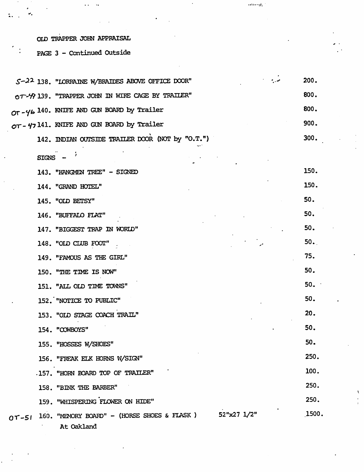### OLD TRAPPER JOHN APPRAISAL

 $\mathbf{H}_\bullet$ 

 $\ddot{ }$ .

 $\ddot{\phantom{a}}$  .  $\ddot{\phantom{a}}$ 

PAGE 3 - Continued Outside

|           |         | S-22 138. "LORRAINE W/BRAIDES ABOVE OFFICE DOOR"                         | 200.  |
|-----------|---------|--------------------------------------------------------------------------|-------|
|           |         | OT-49 139. "TRAPPER JOHN IN WIRE CAGE BY TRAILER"                        | 800.  |
|           |         | OT-46 140. KNIFE AND GUN BOARD by Trailer                                | 800.  |
|           |         | OT- 47141. KNIFE AND GUN BOARD by Trailer                                | 900.  |
|           |         | 142. INDIAN OUTSIDE TRAILER DOOR (NOT by "O.T.")                         | 300.  |
|           | SIGNS - |                                                                          |       |
|           |         | 143. "HANGMEN TREE" - SIGNED                                             | 150.  |
|           |         | 144. "GRAND HOTEL"                                                       | 150.  |
|           |         | 145. "OLD BETSY"                                                         | 50.   |
|           |         | 146. "BUFFALO FLAT"                                                      | 50.   |
|           |         | 147. "BIGGEST TRAP IN WORLD"                                             | 50.   |
|           |         | 148. "OLD CLUB FOOT"                                                     | 50.   |
|           |         | 149. "FAMOUS AS THE GIRL"                                                | 75.   |
|           |         | 150. "THE TIME IS NOW"                                                   | 50.   |
|           |         | 151. "ALL OLD TIME TOWNS"                                                | 50.   |
|           |         | 152. "NOTICE TO PUBLIC"                                                  | 50.   |
|           |         | 153. "OLD STAGE COACH TRAIL"                                             | 20.   |
|           |         | 154. "COWBOYS"                                                           | 50.   |
|           |         | 155. "HOSSES W/SHOES"                                                    | 50.   |
|           |         | 156. "FREAK ELK HORNS W/SIGN"                                            | 250.  |
|           |         | .157. "HORN BOARD TOP OF TRAILER"                                        | 100.  |
|           |         | 158. "BINK THE BARBER"                                                   | 250.  |
|           |         | 159. "WHISPERING FLOWER ON HIDE"                                         | 250.  |
| $0T - 51$ |         | 52"x27 1/2"<br>160. "MENORY BOARD" - (HORSE SHOES & FLASK)<br>At Oakland | 1500. |

 $\omega\omega\omega\omega_{\rm{th}}$